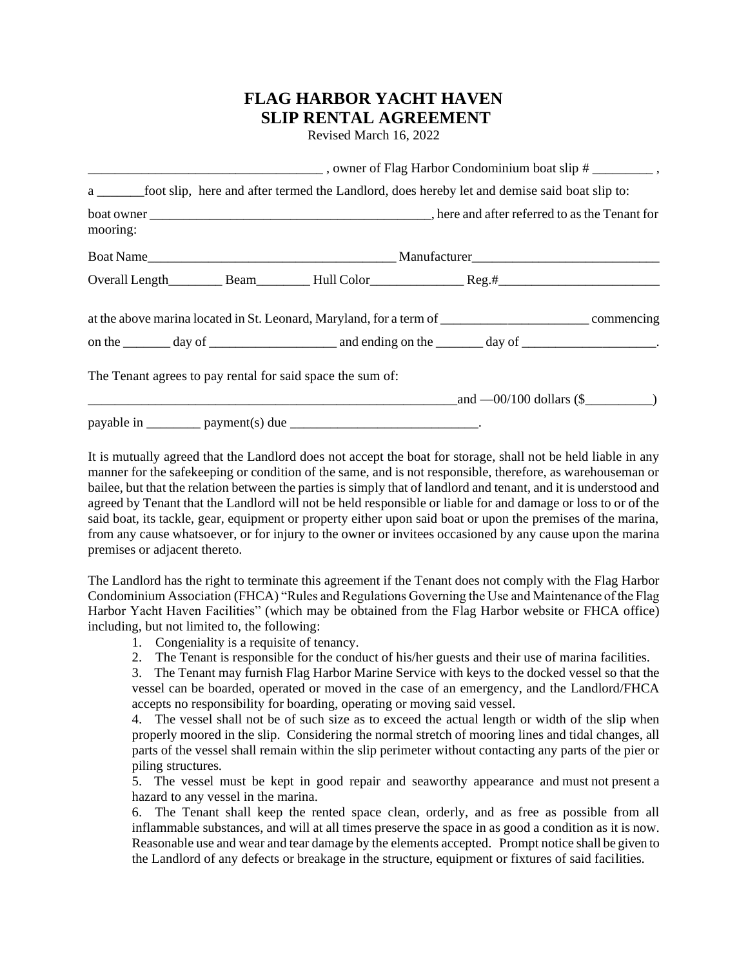## **FLAG HARBOR YACHT HAVEN SLIP RENTAL AGREEMENT**

Revised March 16, 2022

|          |  |                                                            | a ___________foot slip, here and after termed the Landlord, does hereby let and demise said boat slip to:      |  |  |  |
|----------|--|------------------------------------------------------------|----------------------------------------------------------------------------------------------------------------|--|--|--|
| mooring: |  |                                                            |                                                                                                                |  |  |  |
|          |  |                                                            |                                                                                                                |  |  |  |
|          |  |                                                            |                                                                                                                |  |  |  |
|          |  |                                                            | at the above marina located in St. Leonard, Maryland, for a term of ________________________________commencing |  |  |  |
|          |  |                                                            |                                                                                                                |  |  |  |
|          |  | The Tenant agrees to pay rental for said space the sum of: |                                                                                                                |  |  |  |
|          |  |                                                            | $\_and -00/100$ dollars (\$                                                                                    |  |  |  |
|          |  |                                                            |                                                                                                                |  |  |  |

It is mutually agreed that the Landlord does not accept the boat for storage, shall not be held liable in any manner for the safekeeping or condition of the same, and is not responsible, therefore, as warehouseman or bailee, but that the relation between the parties is simply that of landlord and tenant, and it is understood and agreed by Tenant that the Landlord will not be held responsible or liable for and damage or loss to or of the said boat, its tackle, gear, equipment or property either upon said boat or upon the premises of the marina, from any cause whatsoever, or for injury to the owner or invitees occasioned by any cause upon the marina premises or adjacent thereto.

The Landlord has the right to terminate this agreement if the Tenant does not comply with the Flag Harbor Condominium Association (FHCA) "Rules and Regulations Governing the Use and Maintenance of the Flag Harbor Yacht Haven Facilities" (which may be obtained from the Flag Harbor website or FHCA office) including, but not limited to, the following:

- 1. Congeniality is a requisite of tenancy.
- 2. The Tenant is responsible for the conduct of his/her guests and their use of marina facilities.

3. The Tenant may furnish Flag Harbor Marine Service with keys to the docked vessel so that the vessel can be boarded, operated or moved in the case of an emergency, and the Landlord/FHCA accepts no responsibility for boarding, operating or moving said vessel.

4. The vessel shall not be of such size as to exceed the actual length or width of the slip when properly moored in the slip. Considering the normal stretch of mooring lines and tidal changes, all parts of the vessel shall remain within the slip perimeter without contacting any parts of the pier or piling structures.

5. The vessel must be kept in good repair and seaworthy appearance and must not present a hazard to any vessel in the marina.

6. The Tenant shall keep the rented space clean, orderly, and as free as possible from all inflammable substances, and will at all times preserve the space in as good a condition as it is now. Reasonable use and wear and tear damage by the elements accepted. Prompt notice shall be given to the Landlord of any defects or breakage in the structure, equipment or fixtures of said facilities.